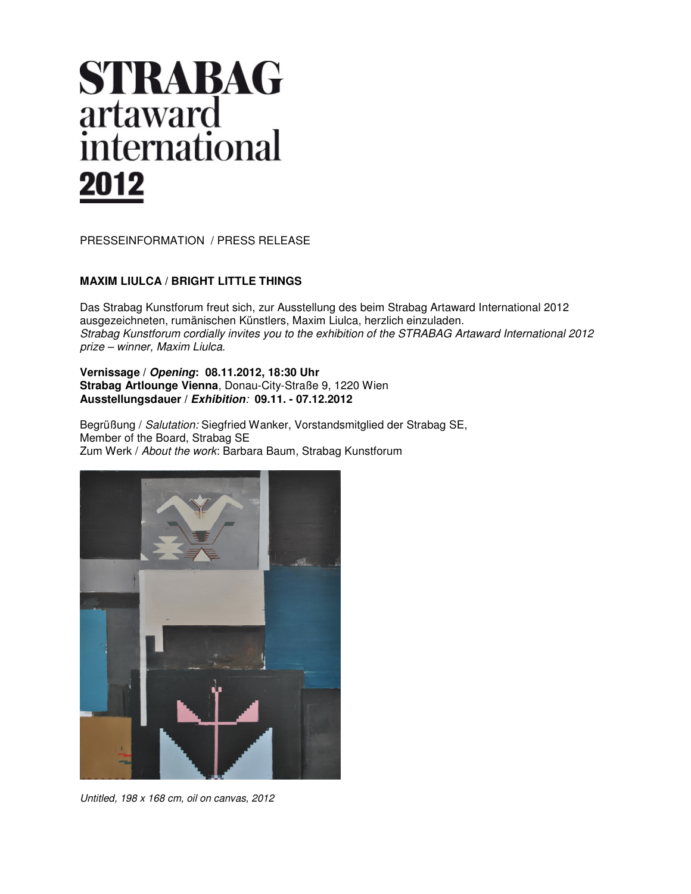# **STRABAG** artaward<br>international 2012

PRESSEINFORMATION / PRESS RELEASE

## **MAXIM LIULCA / BRIGHT LITTLE THINGS**

Das Strabag Kunstforum freut sich, zur Ausstellung des beim Strabag Artaward International 2012 ausgezeichneten, rumänischen Künstlers, Maxim Liulca, herzlich einzuladen. *Strabag Kunstforum cordially invites you to the exhibition of the STRABAG Artaward International 2012 prize – winner, Maxim Liulca.* 

## **Vernissage / Opening: 08.11.2012, 18:30 Uhr Strabag Artlounge Vienna**, Donau-City-Straße 9, 1220 Wien **Ausstellungsdauer / Exhibition***:* **09.11. - 07.12.2012**

Begrüßung / *Salutation:* Siegfried Wanker, Vorstandsmitglied der Strabag SE, Member of the Board, Strabag SE Zum Werk / *About the work*: Barbara Baum, Strabag Kunstforum



*Untitled, 198 x 168 cm, oil on canvas, 2012*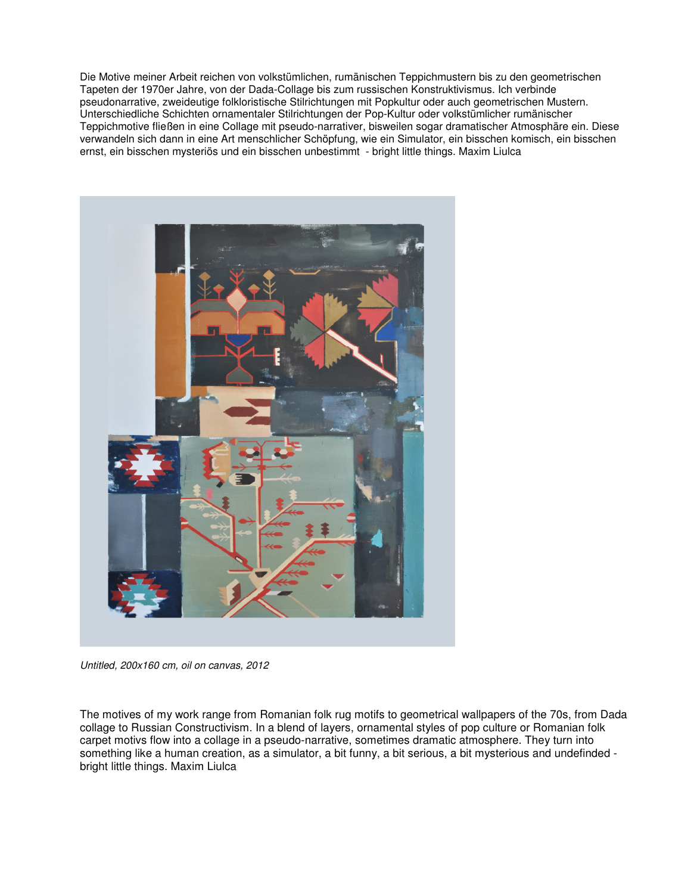Die Motive meiner Arbeit reichen von volkstümlichen, rumänischen Teppichmustern bis zu den geometrischen Tapeten der 1970er Jahre, von der Dada-Collage bis zum russischen Konstruktivismus. Ich verbinde pseudonarrative, zweideutige folkloristische Stilrichtungen mit Popkultur oder auch geometrischen Mustern. Unterschiedliche Schichten ornamentaler Stilrichtungen der Pop-Kultur oder volkstümlicher rumänischer Teppichmotive fließen in eine Collage mit pseudo-narrativer, bisweilen sogar dramatischer Atmosphäre ein. Diese verwandeln sich dann in eine Art menschlicher Schöpfung, wie ein Simulator, ein bisschen komisch, ein bisschen ernst, ein bisschen mysteriös und ein bisschen unbestimmt - bright little things. Maxim Liulca



*Untitled, 200x160 cm, oil on canvas, 2012* 

The motives of my work range from Romanian folk rug motifs to geometrical wallpapers of the 70s, from Dada collage to Russian Constructivism. In a blend of layers, ornamental styles of pop culture or Romanian folk carpet motivs flow into a collage in a pseudo-narrative, sometimes dramatic atmosphere. They turn into something like a human creation, as a simulator, a bit funny, a bit serious, a bit mysterious and undefinded bright little things. Maxim Liulca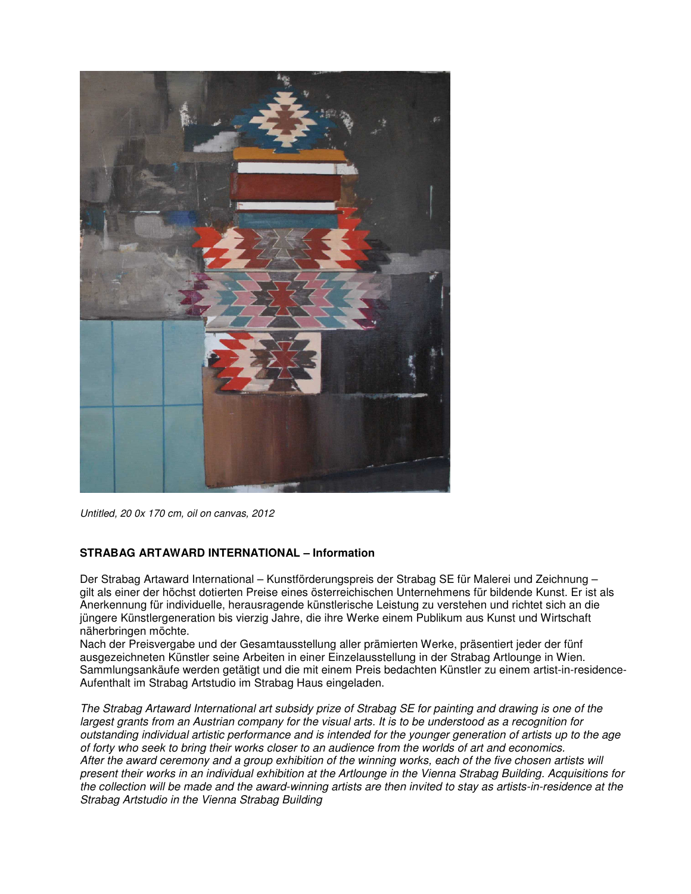

*Untitled, 20 0x 170 cm, oil on canvas, 2012* 

## **STRABAG ARTAWARD INTERNATIONAL – Information**

Der Strabag Artaward International – Kunstförderungspreis der Strabag SE für Malerei und Zeichnung – gilt als einer der höchst dotierten Preise eines österreichischen Unternehmens für bildende Kunst. Er ist als Anerkennung für individuelle, herausragende künstlerische Leistung zu verstehen und richtet sich an die jüngere Künstlergeneration bis vierzig Jahre, die ihre Werke einem Publikum aus Kunst und Wirtschaft näherbringen möchte.

Nach der Preisvergabe und der Gesamtausstellung aller prämierten Werke, präsentiert jeder der fünf ausgezeichneten Künstler seine Arbeiten in einer Einzelausstellung in der Strabag Artlounge in Wien. Sammlungsankäufe werden getätigt und die mit einem Preis bedachten Künstler zu einem artist-in-residence-Aufenthalt im Strabag Artstudio im Strabag Haus eingeladen.

*The Strabag Artaward International art subsidy prize of Strabag SE for painting and drawing is one of the largest grants from an Austrian company for the visual arts. It is to be understood as a recognition for outstanding individual artistic performance and is intended for the younger generation of artists up to the age of forty who seek to bring their works closer to an audience from the worlds of art and economics. After the award ceremony and a group exhibition of the winning works, each of the five chosen artists will present their works in an individual exhibition at the Artlounge in the Vienna Strabag Building. Acquisitions for the collection will be made and the award-winning artists are then invited to stay as artists-in-residence at the Strabag Artstudio in the Vienna Strabag Building*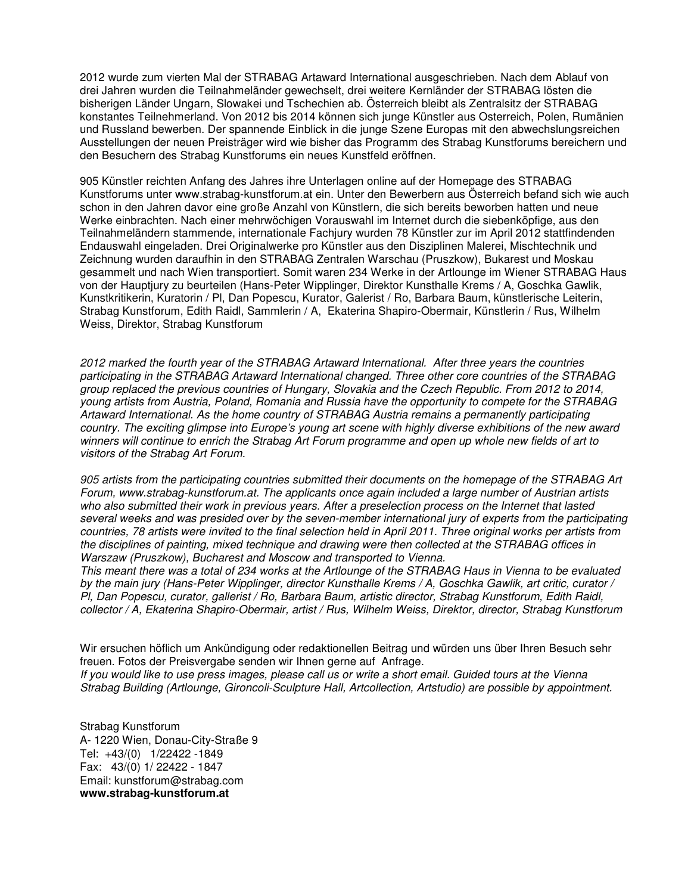2012 wurde zum vierten Mal der STRABAG Artaward International ausgeschrieben. Nach dem Ablauf von drei Jahren wurden die Teilnahmeländer gewechselt, drei weitere Kernländer der STRABAG lösten die bisherigen Länder Ungarn, Slowakei und Tschechien ab. Österreich bleibt als Zentralsitz der STRABAG konstantes Teilnehmerland. Von 2012 bis 2014 können sich junge Künstler aus Osterreich, Polen, Rumänien und Russland bewerben. Der spannende Einblick in die junge Szene Europas mit den abwechslungsreichen Ausstellungen der neuen Preisträger wird wie bisher das Programm des Strabag Kunstforums bereichern und den Besuchern des Strabag Kunstforums ein neues Kunstfeld eröffnen.

905 Künstler reichten Anfang des Jahres ihre Unterlagen online auf der Homepage des STRABAG Kunstforums unter www.strabag-kunstforum.at ein. Unter den Bewerbern aus Österreich befand sich wie auch schon in den Jahren davor eine große Anzahl von Künstlern, die sich bereits beworben hatten und neue Werke einbrachten. Nach einer mehrwöchigen Vorauswahl im Internet durch die siebenköpfige, aus den Teilnahmeländern stammende, internationale Fachjury wurden 78 Künstler zur im April 2012 stattfindenden Endauswahl eingeladen. Drei Originalwerke pro Künstler aus den Disziplinen Malerei, Mischtechnik und Zeichnung wurden daraufhin in den STRABAG Zentralen Warschau (Pruszkow), Bukarest und Moskau gesammelt und nach Wien transportiert. Somit waren 234 Werke in der Artlounge im Wiener STRABAG Haus von der Hauptjury zu beurteilen (Hans-Peter Wipplinger, Direktor Kunsthalle Krems / A, Goschka Gawlik, Kunstkritikerin, Kuratorin / Pl, Dan Popescu, Kurator, Galerist / Ro, Barbara Baum, künstlerische Leiterin, Strabag Kunstforum, Edith Raidl, Sammlerin / A, Ekaterina Shapiro-Obermair, Künstlerin / Rus, Wilhelm Weiss, Direktor, Strabag Kunstforum

*2012 marked the fourth year of the STRABAG Artaward International. After three years the countries participating in the STRABAG Artaward International changed. Three other core countries of the STRABAG group replaced the previous countries of Hungary, Slovakia and the Czech Republic. From 2012 to 2014, young artists from Austria, Poland, Romania and Russia have the opportunity to compete for the STRABAG Artaward International. As the home country of STRABAG Austria remains a permanently participating country. The exciting glimpse into Europe's young art scene with highly diverse exhibitions of the new award winners will continue to enrich the Strabag Art Forum programme and open up whole new fields of art to visitors of the Strabag Art Forum.* 

*905 artists from the participating countries submitted their documents on the homepage of the STRABAG Art Forum, www.strabag-kunstforum.at. The applicants once again included a large number of Austrian artists*  who also submitted their work in previous years. After a preselection process on the Internet that lasted *several weeks and was presided over by the seven-member international jury of experts from the participating countries, 78 artists were invited to the final selection held in April 2011. Three original works per artists from the disciplines of painting, mixed technique and drawing were then collected at the STRABAG offices in Warszaw (Pruszkow), Bucharest and Moscow and transported to Vienna.* 

*This meant there was a total of 234 works at the Artlounge of the STRABAG Haus in Vienna to be evaluated by the main jury (Hans-Peter Wipplinger, director Kunsthalle Krems / A, Goschka Gawlik, art critic, curator / Pl, Dan Popescu, curator, gallerist / Ro, Barbara Baum, artistic director, Strabag Kunstforum, Edith Raidl, collector / A, Ekaterina Shapiro-Obermair, artist / Rus, Wilhelm Weiss, Direktor, director, Strabag Kunstforum* 

Wir ersuchen höflich um Ankündigung oder redaktionellen Beitrag und würden uns über Ihren Besuch sehr freuen. Fotos der Preisvergabe senden wir Ihnen gerne auf Anfrage. *If you would like to use press images, please call us or write a short email. Guided tours at the Vienna Strabag Building (Artlounge, Gironcoli-Sculpture Hall, Artcollection, Artstudio) are possible by appointment.* 

Strabag Kunstforum A- 1220 Wien, Donau-City-Straße 9 Tel: +43/(0) 1/22422 -1849 Fax: 43/(0) 1/ 22422 - 1847 Email: kunstforum@strabag.com **www.strabag-kunstforum.at**